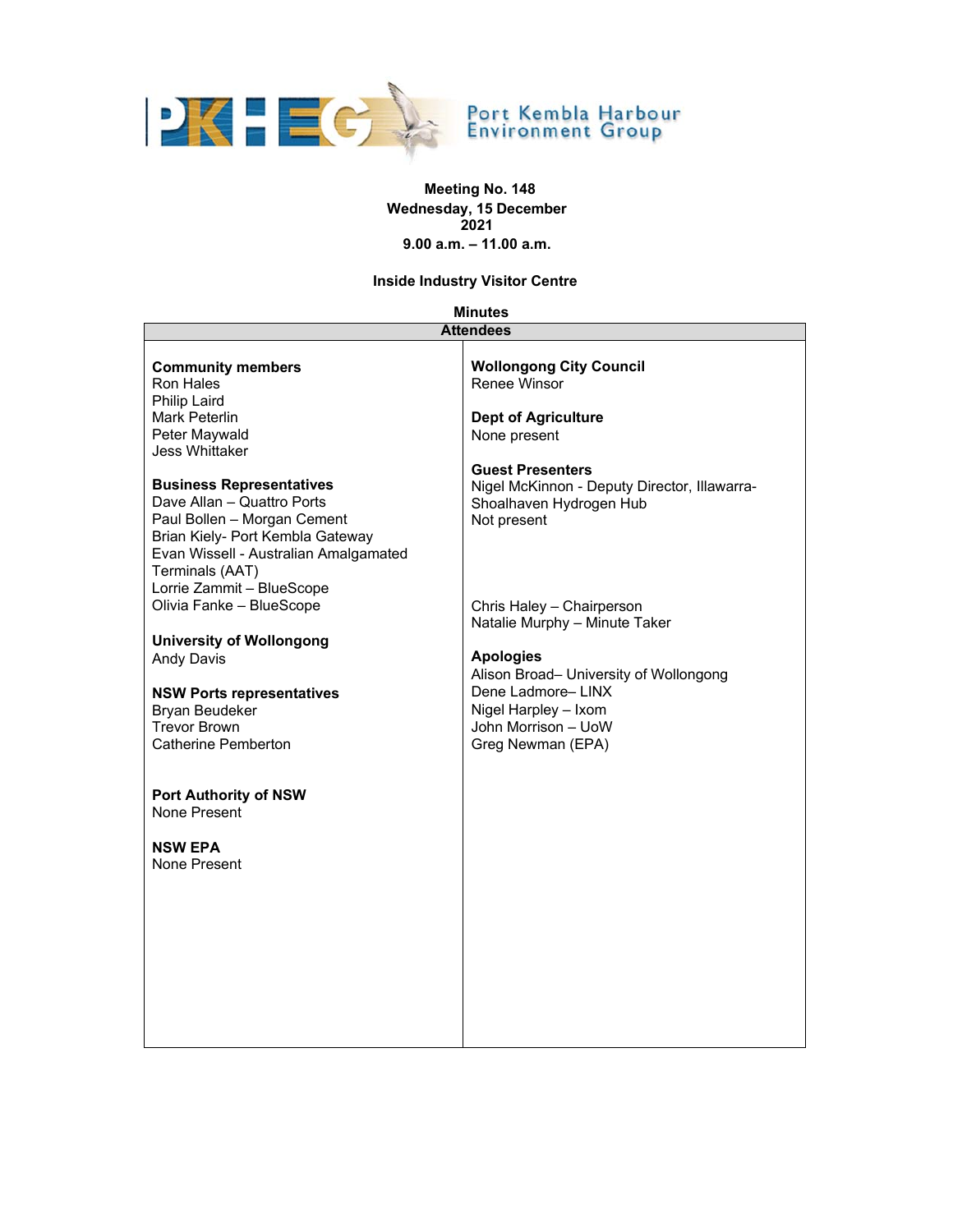

# **Meeting No. 148 Wednesday, 15 December 2021 9.00 a.m. – 11.00 a.m.**

**Inside Industry Visitor Centre** 

# **Minutes**

| <b>Attendees</b>                                                                                                                                                                                                          |                                                                                                                                                     |  |
|---------------------------------------------------------------------------------------------------------------------------------------------------------------------------------------------------------------------------|-----------------------------------------------------------------------------------------------------------------------------------------------------|--|
| <b>Community members</b><br>Ron Hales<br><b>Philip Laird</b>                                                                                                                                                              | <b>Wollongong City Council</b><br><b>Renee Winsor</b>                                                                                               |  |
| Mark Peterlin<br>Peter Maywald<br>Jess Whittaker                                                                                                                                                                          | <b>Dept of Agriculture</b><br>None present                                                                                                          |  |
| <b>Business Representatives</b><br>Dave Allan - Quattro Ports<br>Paul Bollen - Morgan Cement<br>Brian Kiely- Port Kembla Gateway<br>Evan Wissell - Australian Amalgamated<br>Terminals (AAT)<br>Lorrie Zammit - BlueScope | <b>Guest Presenters</b><br>Nigel McKinnon - Deputy Director, Illawarra-<br>Shoalhaven Hydrogen Hub<br>Not present                                   |  |
| Olivia Fanke - BlueScope                                                                                                                                                                                                  | Chris Haley - Chairperson<br>Natalie Murphy - Minute Taker                                                                                          |  |
| <b>University of Wollongong</b>                                                                                                                                                                                           |                                                                                                                                                     |  |
| <b>Andy Davis</b><br><b>NSW Ports representatives</b><br>Bryan Beudeker<br><b>Trevor Brown</b><br><b>Catherine Pemberton</b>                                                                                              | <b>Apologies</b><br>Alison Broad- University of Wollongong<br>Dene Ladmore-LINX<br>Nigel Harpley - Ixom<br>John Morrison - UoW<br>Greg Newman (EPA) |  |
| <b>Port Authority of NSW</b><br>None Present                                                                                                                                                                              |                                                                                                                                                     |  |
| <b>NSW EPA</b><br>None Present                                                                                                                                                                                            |                                                                                                                                                     |  |
|                                                                                                                                                                                                                           |                                                                                                                                                     |  |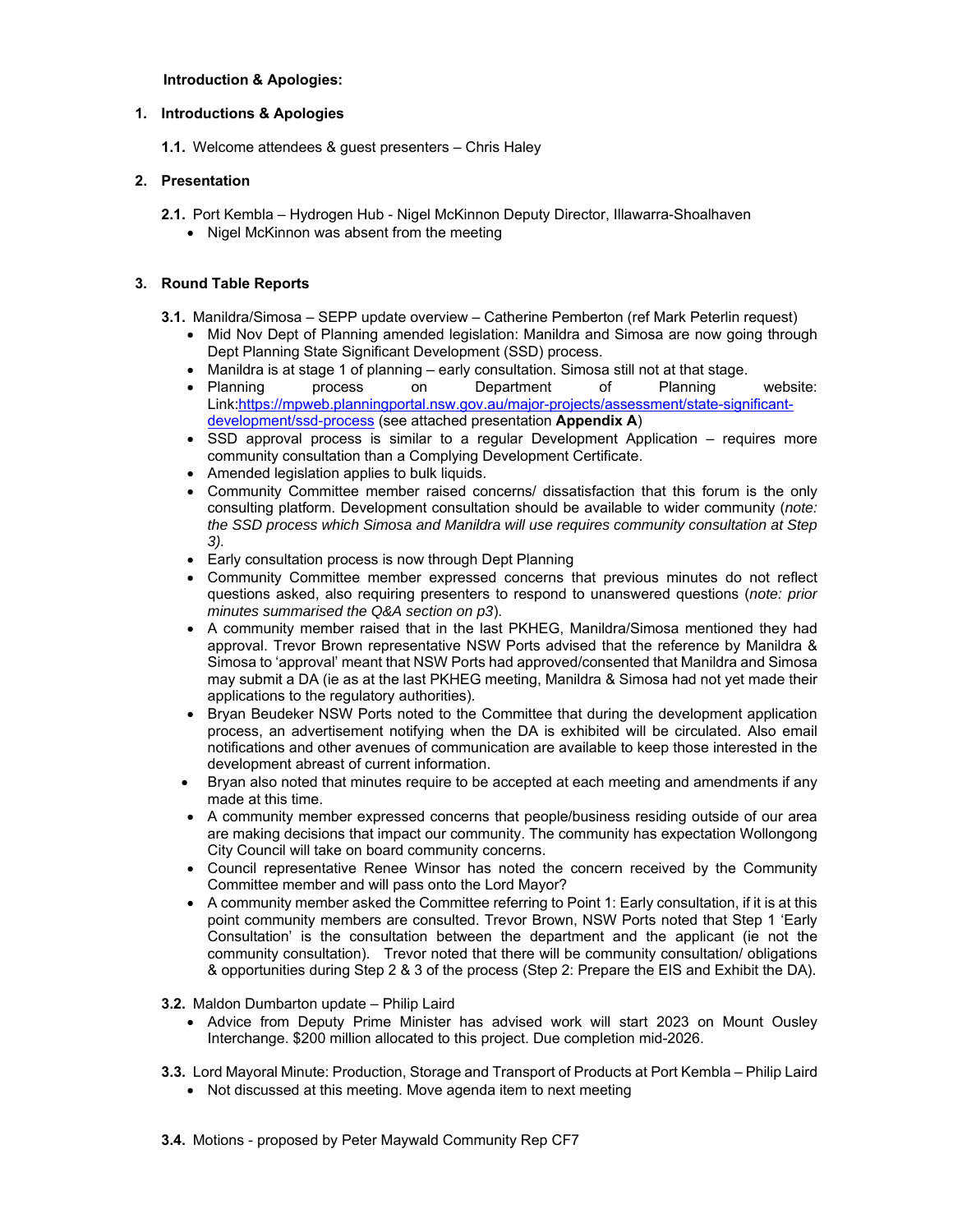# **Introduction & Apologies:**

# **1. Introductions & Apologies**

**1.1.** Welcome attendees & guest presenters – Chris Haley

# **2. Presentation**

- **2.1.** Port Kembla Hydrogen Hub Nigel McKinnon Deputy Director, Illawarra-Shoalhaven
	- Nigel McKinnon was absent from the meeting

# **3. Round Table Reports**

- **3.1.** Manildra/Simosa SEPP update overview Catherine Pemberton (ref Mark Peterlin request)
	- Mid Nov Dept of Planning amended legislation: Manildra and Simosa are now going through Dept Planning State Significant Development (SSD) process.
	- Manildra is at stage 1 of planning early consultation. Simosa still not at that stage.
	- Planning process on Department of Planning website: Link:https://mpweb.planningportal.nsw.gov.au/major-projects/assessment/state-significantdevelopment/ssd-process (see attached presentation **Appendix A**)
	- SSD approval process is similar to a regular Development Application requires more community consultation than a Complying Development Certificate.
	- Amended legislation applies to bulk liquids.
	- Community Committee member raised concerns/ dissatisfaction that this forum is the only consulting platform. Development consultation should be available to wider community (*note: the SSD process which Simosa and Manildra will use requires community consultation at Step 3).*
	- Early consultation process is now through Dept Planning
	- Community Committee member expressed concerns that previous minutes do not reflect questions asked, also requiring presenters to respond to unanswered questions (*note: prior minutes summarised the Q&A section on p3*).
	- A community member raised that in the last PKHEG, Manildra/Simosa mentioned they had approval. Trevor Brown representative NSW Ports advised that the reference by Manildra & Simosa to 'approval' meant that NSW Ports had approved/consented that Manildra and Simosa may submit a DA (ie as at the last PKHEG meeting, Manildra & Simosa had not yet made their applications to the regulatory authorities).
	- Bryan Beudeker NSW Ports noted to the Committee that during the development application process, an advertisement notifying when the DA is exhibited will be circulated. Also email notifications and other avenues of communication are available to keep those interested in the development abreast of current information.
	- Bryan also noted that minutes require to be accepted at each meeting and amendments if any made at this time.
	- A community member expressed concerns that people/business residing outside of our area are making decisions that impact our community. The community has expectation Wollongong City Council will take on board community concerns.
	- Council representative Renee Winsor has noted the concern received by the Community Committee member and will pass onto the Lord Mayor?
	- A community member asked the Committee referring to Point 1: Early consultation, if it is at this point community members are consulted. Trevor Brown, NSW Ports noted that Step 1 'Early Consultation' is the consultation between the department and the applicant (ie not the community consultation). Trevor noted that there will be community consultation/ obligations & opportunities during Step 2 & 3 of the process (Step 2: Prepare the EIS and Exhibit the DA).

**3.2.** Maldon Dumbarton update – Philip Laird

- Advice from Deputy Prime Minister has advised work will start 2023 on Mount Ousley Interchange. \$200 million allocated to this project. Due completion mid-2026.
- **3.3.** Lord Mayoral Minute: Production, Storage and Transport of Products at Port Kembla Philip Laird
	- Not discussed at this meeting. Move agenda item to next meeting
- **3.4.** Motions proposed by Peter Maywald Community Rep CF7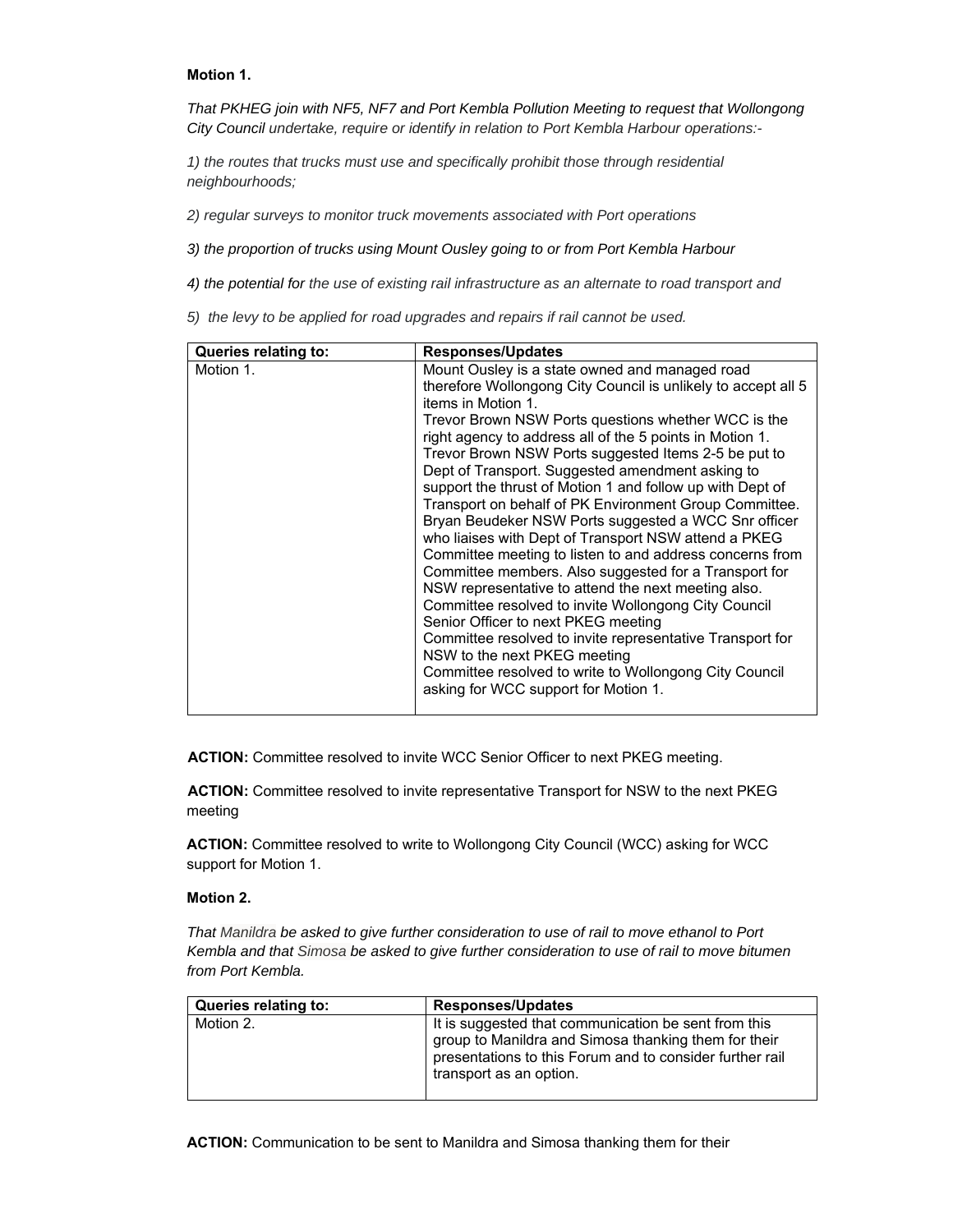### **Motion 1.**

*That PKHEG join with NF5, NF7 and Port Kembla Pollution Meeting to request that Wollongong City Council undertake, require or identify in relation to Port Kembla Harbour operations:-*

*1) the routes that trucks must use and specifically prohibit those through residential neighbourhoods;*

*2) regular surveys to monitor truck movements associated with Port operations*

*3) the proportion of trucks using Mount Ousley going to or from Port Kembla Harbour* 

*4) the potential for the use of existing rail infrastructure as an alternate to road transport and*

*5) the levy to be applied for road upgrades and repairs if rail cannot be used.* 

| Queries relating to: | <b>Responses/Updates</b>                                                                                                                                                                                                                                                                                                                                                                                                                                                                                                                                                                                                                                                                                                                                                                                                                                                                                                                                                                                                                                                              |
|----------------------|---------------------------------------------------------------------------------------------------------------------------------------------------------------------------------------------------------------------------------------------------------------------------------------------------------------------------------------------------------------------------------------------------------------------------------------------------------------------------------------------------------------------------------------------------------------------------------------------------------------------------------------------------------------------------------------------------------------------------------------------------------------------------------------------------------------------------------------------------------------------------------------------------------------------------------------------------------------------------------------------------------------------------------------------------------------------------------------|
| Motion 1.            | Mount Ousley is a state owned and managed road<br>therefore Wollongong City Council is unlikely to accept all 5<br>items in Motion 1.<br>Trevor Brown NSW Ports questions whether WCC is the<br>right agency to address all of the 5 points in Motion 1.<br>Trevor Brown NSW Ports suggested Items 2-5 be put to<br>Dept of Transport. Suggested amendment asking to<br>support the thrust of Motion 1 and follow up with Dept of<br>Transport on behalf of PK Environment Group Committee.<br>Bryan Beudeker NSW Ports suggested a WCC Snr officer<br>who liaises with Dept of Transport NSW attend a PKEG<br>Committee meeting to listen to and address concerns from<br>Committee members. Also suggested for a Transport for<br>NSW representative to attend the next meeting also.<br>Committee resolved to invite Wollongong City Council<br>Senior Officer to next PKEG meeting<br>Committee resolved to invite representative Transport for<br>NSW to the next PKEG meeting<br>Committee resolved to write to Wollongong City Council<br>asking for WCC support for Motion 1. |
|                      |                                                                                                                                                                                                                                                                                                                                                                                                                                                                                                                                                                                                                                                                                                                                                                                                                                                                                                                                                                                                                                                                                       |

**ACTION:** Committee resolved to invite WCC Senior Officer to next PKEG meeting.

**ACTION:** Committee resolved to invite representative Transport for NSW to the next PKEG meeting

**ACTION:** Committee resolved to write to Wollongong City Council (WCC) asking for WCC support for Motion 1.

## **Motion 2.**

*That Manildra be asked to give further consideration to use of rail to move ethanol to Port Kembla and that Simosa be asked to give further consideration to use of rail to move bitumen from Port Kembla.* 

| Queries relating to: | <b>Responses/Updates</b>                                                                                                                                                                            |
|----------------------|-----------------------------------------------------------------------------------------------------------------------------------------------------------------------------------------------------|
| Motion 2.            | It is suggested that communication be sent from this<br>group to Manildra and Simosa thanking them for their<br>presentations to this Forum and to consider further rail<br>transport as an option. |

**ACTION:** Communication to be sent to Manildra and Simosa thanking them for their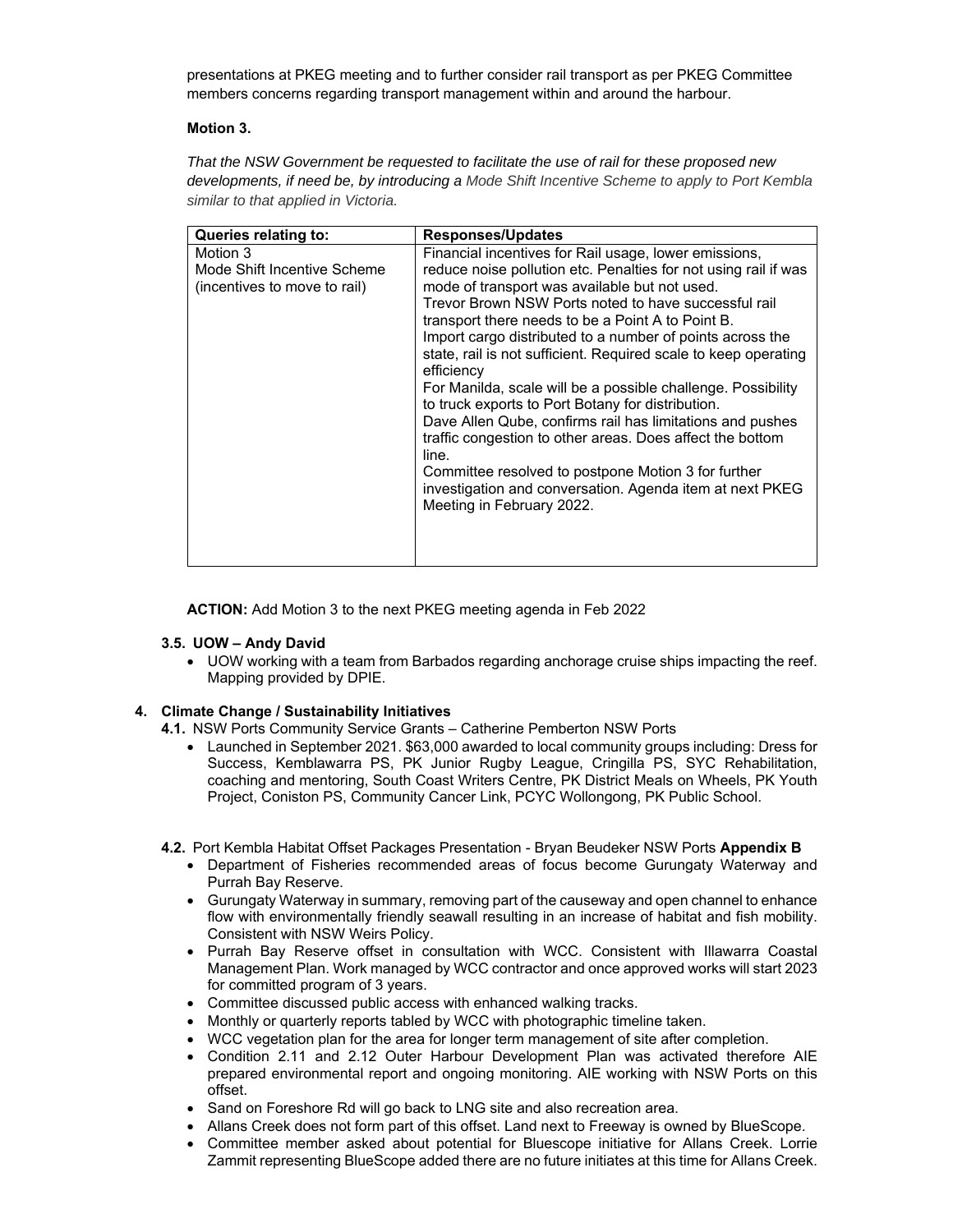presentations at PKEG meeting and to further consider rail transport as per PKEG Committee members concerns regarding transport management within and around the harbour.

# **Motion 3.**

*That the NSW Government be requested to facilitate the use of rail for these proposed new developments, if need be, by introducing a Mode Shift Incentive Scheme to apply to Port Kembla similar to that applied in Victoria.* 

| Queries relating to:                                                    | <b>Responses/Updates</b>                                                                                                                                                                                                                                                                                                                                                                                                                                                                                                                                                                                                                                                                                                                                                                                                                     |
|-------------------------------------------------------------------------|----------------------------------------------------------------------------------------------------------------------------------------------------------------------------------------------------------------------------------------------------------------------------------------------------------------------------------------------------------------------------------------------------------------------------------------------------------------------------------------------------------------------------------------------------------------------------------------------------------------------------------------------------------------------------------------------------------------------------------------------------------------------------------------------------------------------------------------------|
| Motion 3<br>Mode Shift Incentive Scheme<br>(incentives to move to rail) | Financial incentives for Rail usage, lower emissions,<br>reduce noise pollution etc. Penalties for not using rail if was<br>mode of transport was available but not used.<br>Trevor Brown NSW Ports noted to have successful rail<br>transport there needs to be a Point A to Point B.<br>Import cargo distributed to a number of points across the<br>state, rail is not sufficient. Required scale to keep operating<br>efficiency<br>For Manilda, scale will be a possible challenge. Possibility<br>to truck exports to Port Botany for distribution.<br>Dave Allen Qube, confirms rail has limitations and pushes<br>traffic congestion to other areas. Does affect the bottom<br>line.<br>Committee resolved to postpone Motion 3 for further<br>investigation and conversation. Agenda item at next PKEG<br>Meeting in February 2022. |

**ACTION:** Add Motion 3 to the next PKEG meeting agenda in Feb 2022

#### **3.5. UOW – Andy David**

 UOW working with a team from Barbados regarding anchorage cruise ships impacting the reef. Mapping provided by DPIE.

# **4. Climate Change / Sustainability Initiatives**

**4.1.** NSW Ports Community Service Grants – Catherine Pemberton NSW Ports

 Launched in September 2021. \$63,000 awarded to local community groups including: Dress for Success, Kemblawarra PS, PK Junior Rugby League, Cringilla PS, SYC Rehabilitation, coaching and mentoring, South Coast Writers Centre, PK District Meals on Wheels, PK Youth Project, Coniston PS, Community Cancer Link, PCYC Wollongong, PK Public School.

**4.2.** Port Kembla Habitat Offset Packages Presentation - Bryan Beudeker NSW Ports **Appendix B**

- Department of Fisheries recommended areas of focus become Gurungaty Waterway and Purrah Bay Reserve.
- Gurungaty Waterway in summary, removing part of the causeway and open channel to enhance flow with environmentally friendly seawall resulting in an increase of habitat and fish mobility. Consistent with NSW Weirs Policy.
- Purrah Bay Reserve offset in consultation with WCC. Consistent with Illawarra Coastal Management Plan. Work managed by WCC contractor and once approved works will start 2023 for committed program of 3 years.
- Committee discussed public access with enhanced walking tracks.
- Monthly or quarterly reports tabled by WCC with photographic timeline taken.
- WCC vegetation plan for the area for longer term management of site after completion.
- Condition 2.11 and 2.12 Outer Harbour Development Plan was activated therefore AIE prepared environmental report and ongoing monitoring. AIE working with NSW Ports on this offset.
- Sand on Foreshore Rd will go back to LNG site and also recreation area.
- Allans Creek does not form part of this offset. Land next to Freeway is owned by BlueScope.
- Committee member asked about potential for Bluescope initiative for Allans Creek. Lorrie Zammit representing BlueScope added there are no future initiates at this time for Allans Creek.